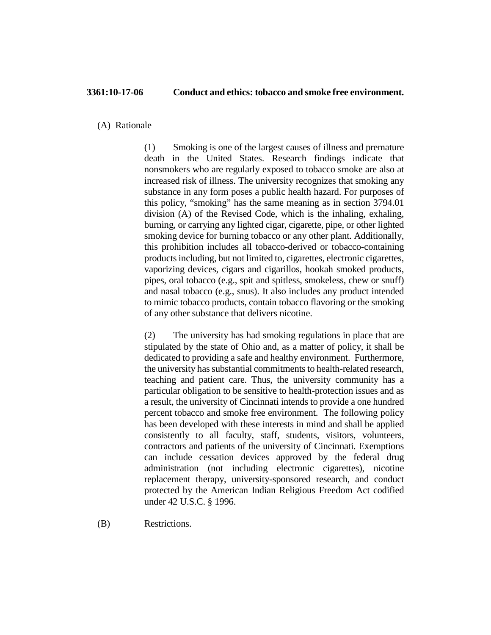(A) Rationale

(1) Smoking is one of the largest causes of illness and premature death in the United States. Research findings indicate that nonsmokers who are regularly exposed to tobacco smoke are also at increased risk of illness. The university recognizes that smoking any substance in any form poses a public health hazard. For purposes of this policy, "smoking" has the same meaning as in section 3794.01 division (A) of the Revised Code, which is the inhaling, exhaling, burning, or carrying any lighted cigar, cigarette, pipe, or other lighted smoking device for burning tobacco or any other plant. Additionally, this prohibition includes all tobacco-derived or tobacco-containing products including, but not limited to, cigarettes, electronic cigarettes, vaporizing devices, cigars and cigarillos, hookah smoked products, pipes, oral tobacco (e.g., spit and spitless, smokeless, chew or snuff) and nasal tobacco (e.g., snus). It also includes any product intended to mimic tobacco products, contain tobacco flavoring or the smoking of any other substance that delivers nicotine.

(2) The university has had smoking regulations in place that are stipulated by the state of Ohio and, as a matter of policy, it shall be dedicated to providing a safe and healthy environment. Furthermore, the university has substantial commitments to health-related research, teaching and patient care. Thus, the university community has a particular obligation to be sensitive to health-protection issues and as a result, the university of Cincinnati intends to provide a one hundred percent tobacco and smoke free environment. The following policy has been developed with these interests in mind and shall be applied consistently to all faculty, staff, students, visitors, volunteers, contractors and patients of the university of Cincinnati. Exemptions can include cessation devices approved by the federal drug administration (not including electronic cigarettes), nicotine replacement therapy, university-sponsored research, and conduct protected by the American Indian Religious Freedom Act codified under 42 U.S.C. § 1996.

(B) Restrictions.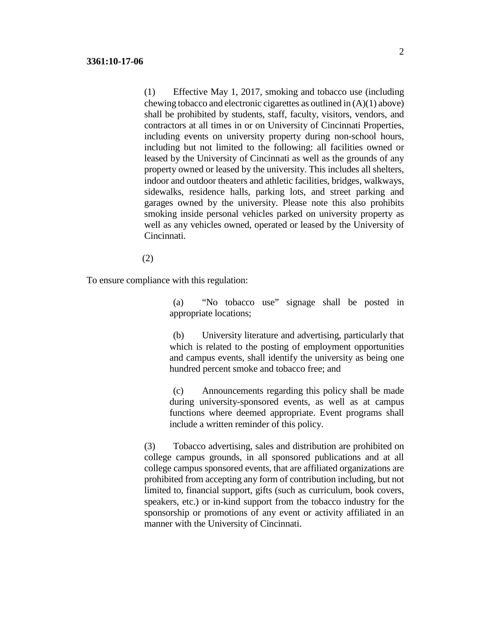(1) Effective May 1, 2017, smoking and tobacco use (including chewing tobacco and electronic cigarettes as outlined in (A)(1) above) shall be prohibited by students, staff, faculty, visitors, vendors, and contractors at all times in or on University of Cincinnati Properties, including events on university property during non-school hours, including but not limited to the following: all facilities owned or leased by the University of Cincinnati as well as the grounds of any property owned or leased by the university. This includes all shelters, indoor and outdoor theaters and athletic facilities, bridges, walkways, sidewalks, residence halls, parking lots, and street parking and garages owned by the university. Please note this also prohibits smoking inside personal vehicles parked on university property as well as any vehicles owned, operated or leased by the University of Cincinnati.

(2)

To ensure compliance with this regulation:

(a) "No tobacco use" signage shall be posted in appropriate locations;

(b) University literature and advertising, particularly that which is related to the posting of employment opportunities and campus events, shall identify the university as being one hundred percent smoke and tobacco free; and

(c) Announcements regarding this policy shall be made during university-sponsored events, as well as at campus functions where deemed appropriate. Event programs shall include a written reminder of this policy.

(3) Tobacco advertising, sales and distribution are prohibited on college campus grounds, in all sponsored publications and at all college campus sponsored events, that are affiliated organizations are prohibited from accepting any form of contribution including, but not limited to, financial support, gifts (such as curriculum, book covers, speakers, etc.) or in-kind support from the tobacco industry for the sponsorship or promotions of any event or activity affiliated in an manner with the University of Cincinnati.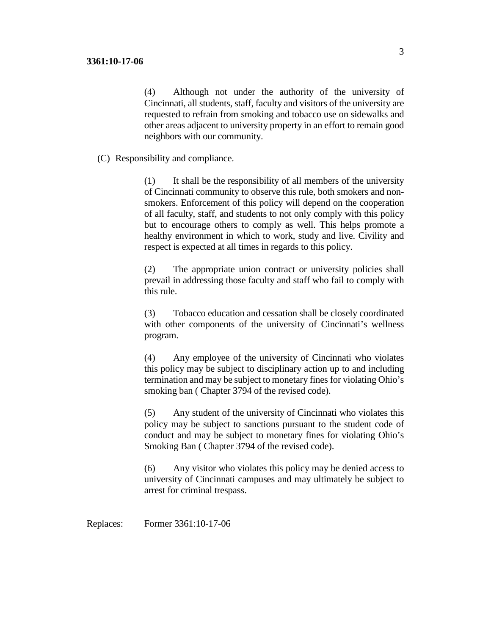(4) Although not under the authority of the university of Cincinnati, all students, staff, faculty and visitors of the university are requested to refrain from smoking and tobacco use on sidewalks and other areas adjacent to university property in an effort to remain good neighbors with our community.

(C) Responsibility and compliance.

(1) It shall be the responsibility of all members of the university of Cincinnati community to observe this rule, both smokers and nonsmokers. Enforcement of this policy will depend on the cooperation of all faculty, staff, and students to not only comply with this policy but to encourage others to comply as well. This helps promote a healthy environment in which to work, study and live. Civility and respect is expected at all times in regards to this policy.

(2) The appropriate union contract or university policies shall prevail in addressing those faculty and staff who fail to comply with this rule.

(3) Tobacco education and cessation shall be closely coordinated with other components of the university of Cincinnati's wellness program.

(4) Any employee of the university of Cincinnati who violates this policy may be subject to disciplinary action up to and including termination and may be subject to monetary fines for violating Ohio's smoking ban ( Chapter 3794 of the revised code).

(5) Any student of the university of Cincinnati who violates this policy may be subject to sanctions pursuant to the student code of conduct and may be subject to monetary fines for violating Ohio's Smoking Ban ( Chapter 3794 of the revised code).

(6) Any visitor who violates this policy may be denied access to university of Cincinnati campuses and may ultimately be subject to arrest for criminal trespass.

Replaces: Former 3361:10-17-06